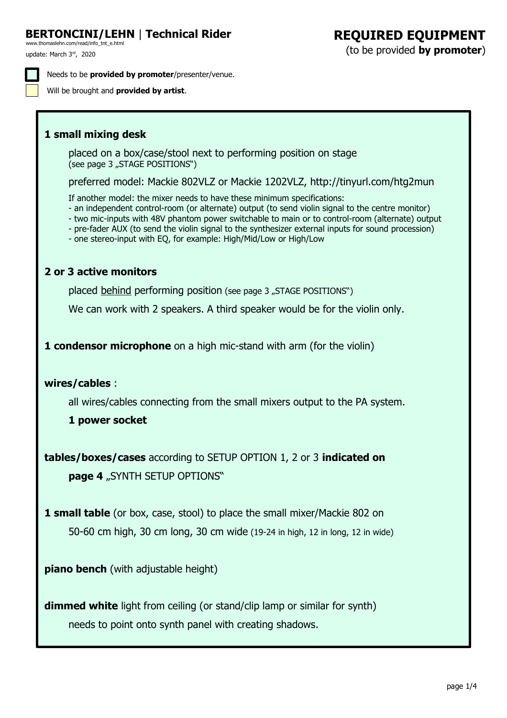# **[BERTONCINI/LEHN](http://www.thomaslehn.com/read/info_tnt_e.html)** | **Technical Rider REQUIRED EQUIPMENT**

update: March 3rd, 2020 [www.thomaslehn.com/read/info\\_tnt\\_e.html](http://www.thomaslehn.com/read/info_tnt_e.html)

Needs to be **provided by promoter**/presenter/venue.

Will be brought and **provided by artist**.

### **1 small mixing desk**

placed on a box/case/stool next to performing position on stage (see page 3 "STAGE POSITIONS")

preferred model: Mackie 802VLZ or Mackie 1202VLZ,<http://tinyurl.com/htg2mun>

If another model: the mixer needs to have these minimum specifications:

- an independent control-room (or alternate) output (to send violin signal to the centre monitor)
- two mic-inputs with 48V phantom power switchable to main or to control-room (alternate) output
- pre-fader AUX (to send the violin signal to the synthesizer external inputs for sound procession)

- one stereo-input with EQ, for example: High/Mid/Low or High/Low

### **2 or 3 active monitors**

placed behind performing position (see page 3 "STAGE POSITIONS")

We can work with 2 speakers. A third speaker would be for the violin only.

**1 condensor microphone** on a high mic-stand with arm (for the violin)

### **wires/cables** :

all wires/cables connecting from the small mixers output to the PA system.

### **1 power socket**

**tables/boxes/cases** according to SETUP OPTION 1, 2 or 3 **indicated on page 4** "SYNTH SETUP OPTIONS"

**1 small table** (or box, case, stool) to place the small mixer/Mackie 802 on 50-60 cm high, 30 cm long, 30 cm wide (19-24 in high, 12 in long, 12 in wide)

**piano bench** (with adjustable height)

**dimmed white** light from ceiling (or stand/clip lamp or similar for synth) needs to point onto synth panel with creating shadows.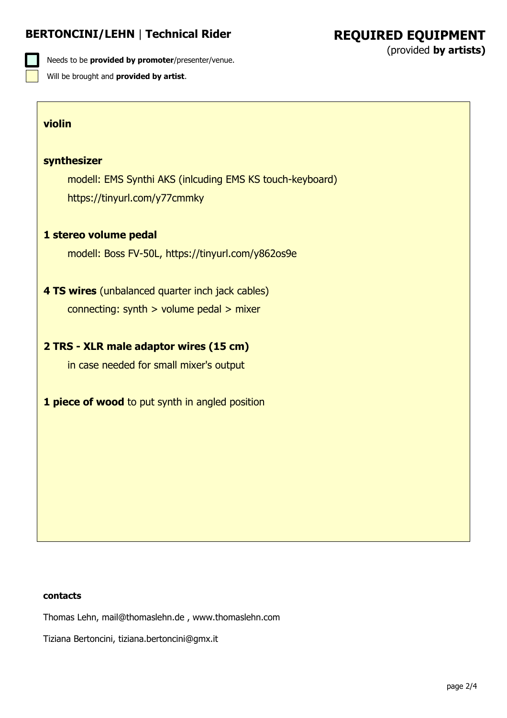## **BERTONCINI/LEHN** | **Technical Rider**

Needs to be **provided by promoter**/presenter/venue. Will be brought and **provided by artist**.

#### **violin**

#### **synthesizer**

modell: EMS Synthi AKS (inlcuding EMS KS touch-keyboard) <https://tinyurl.com/y77cmmky>

#### **1 stereo volume pedal**

modell: Boss FV-50L, <https://tinyurl.com/y862os9e>

# **4 TS wires** (unbalanced quarter inch jack cables)

connecting: synth > volume pedal > mixer

### **2 TRS - XLR male adaptor wires (15 cm)**

in case needed for small mixer's output

**1 piece of wood** to put synth in angled position

#### **contacts**

Thomas Lehn, [mail@thomaslehn.de](mailto:mail@thomaslehn.de) , [www.thomaslehn.com](http://www.thomaslehn.com/)

Tiziana Bertoncini, [tiziana.bertoncini@gmx.it](mailto:tiziana.bertoncini@gmx.it)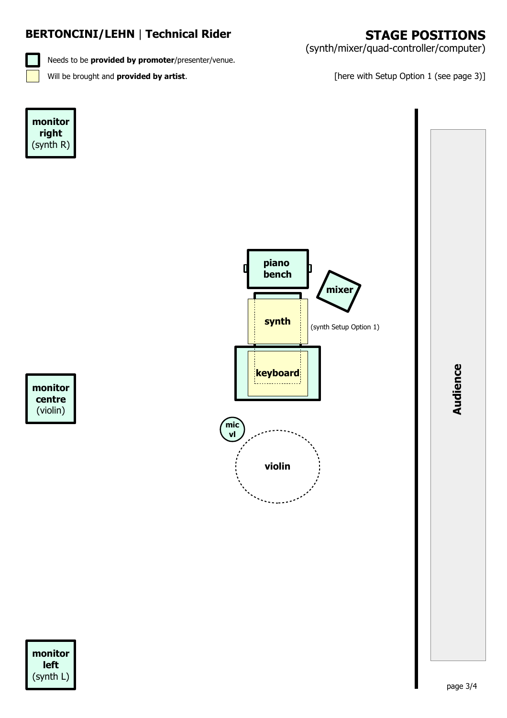# **BERTONCINI/LEHN** | **Technical Rider**

Needs to be **provided by promoter**/presenter/venue.

(synth/mixer/quad-controller/computer)

Will be brought and **provided by artist**. **Example 20 and Setup Option 1** (see page 3)]





**A udie nce**

**monitor centre** (violin)

**monitor left** (synth L)